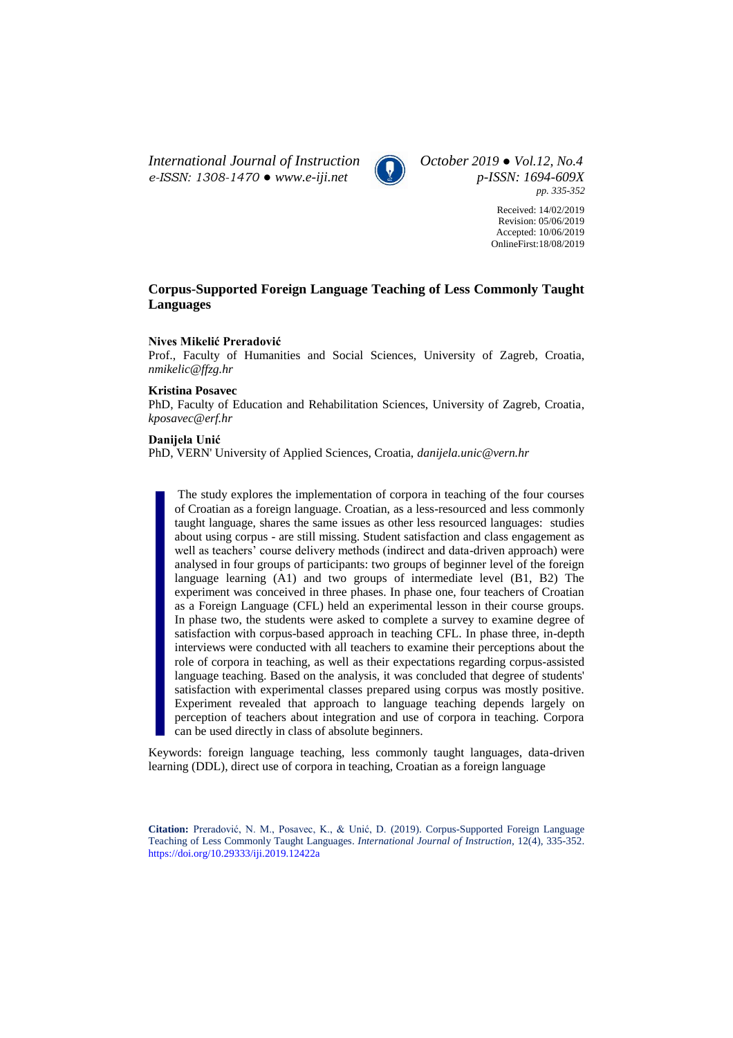*International Journal of Instruction October 2019 ● Vol.12, No.4 e-ISSN: 1308-1470 ● [www.e-iji.net](http://www.e-iji.net/) p-ISSN: 1694-609X*



*pp. 335-352*

Received: 14/02/2019 Revision: 05/06/2019 Accepted: 10/06/2019 OnlineFirst:18/08/2019

# **Corpus-Supported Foreign Language Teaching of Less Commonly Taught Languages**

### **Nives Mikelić Preradović**

Prof., Faculty of Humanities and Social Sciences, University of Zagreb, Croatia, *nmikelic@ffzg.hr*

### **Kristina Posavec**

PhD, Faculty of Education and Rehabilitation Sciences, University of Zagreb, Croatia, *kposavec@erf.hr*

# **Danijela Unić**

PhD, VERN' University of Applied Sciences, Croatia, *danijela.unic@vern.hr*

The study explores the implementation of corpora in teaching of the four courses of Croatian as a foreign language. Croatian, as a less-resourced and less commonly taught language, shares the same issues as other less resourced languages: studies about using corpus - are still missing. Student satisfaction and class engagement as well as teachers' course delivery methods (indirect and data-driven approach) were analysed in four groups of participants: two groups of beginner level of the foreign language learning (A1) and two groups of intermediate level (B1, B2) The experiment was conceived in three phases. In phase one, four teachers of Croatian as a Foreign Language (CFL) held an experimental lesson in their course groups. In phase two, the students were asked to complete a survey to examine degree of satisfaction with corpus-based approach in teaching CFL. In phase three, in-depth interviews were conducted with all teachers to examine their perceptions about the role of corpora in teaching, as well as their expectations regarding corpus-assisted language teaching. Based on the analysis, it was concluded that degree of students' satisfaction with experimental classes prepared using corpus was mostly positive. Experiment revealed that approach to language teaching depends largely on perception of teachers about integration and use of corpora in teaching. Corpora can be used directly in class of absolute beginners.

Keywords: foreign language teaching, less commonly taught languages, data-driven learning (DDL), direct use of corpora in teaching, Croatian as a foreign language

**Citation:** Preradović, N. M., Posavec, K., & Unić, D. (2019). Corpus-Supported Foreign Language Teaching of Less Commonly Taught Languages. *International Journal of Instruction*, 12(4), 335-352. <https://doi.org/10.29333/iji.2019.12422a>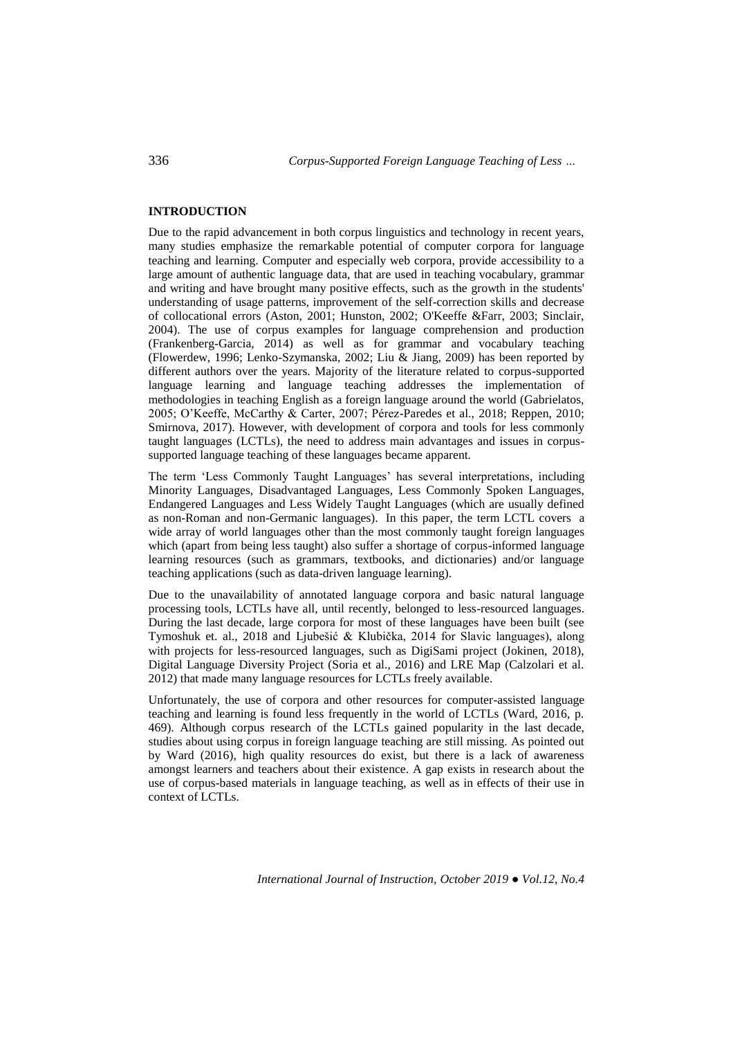### **INTRODUCTION**

Due to the rapid advancement in both corpus linguistics and technology in recent years, many studies emphasize the remarkable potential of computer corpora for language teaching and learning. Computer and especially web corpora, provide accessibility to a large amount of authentic language data, that are used in teaching vocabulary, grammar and writing and have brought many positive effects, such as the growth in the students' understanding of usage patterns, improvement of the self-correction skills and decrease of collocational errors (Aston, 2001; Hunston, 2002; O'Keeffe &Farr, 2003; Sinclair, 2004). The use of corpus examples for language comprehension and production (Frankenberg-Garcia, 2014) as well as for grammar and vocabulary teaching (Flowerdew, 1996; Lenko-Szymanska, 2002; Liu & Jiang, 2009) has been reported by different authors over the years. Majority of the literature related to corpus-supported language learning and language teaching addresses the implementation of methodologies in teaching English as a foreign language around the world (Gabrielatos, 2005; O'Keeffe, McCarthy & Carter, 2007; Pérez-Paredes et al., 2018; Reppen, 2010; Smirnova, 2017). However, with development of corpora and tools for less commonly taught languages (LCTLs), the need to address main advantages and issues in corpussupported language teaching of these languages became apparent.

The term 'Less Commonly Taught Languages' has several interpretations, including Minority Languages, Disadvantaged Languages, Less Commonly Spoken Languages, Endangered Languages and Less Widely Taught Languages (which are usually defined as non-Roman and non-Germanic languages). In this paper, the term LCTL covers a wide array of world languages other than the most commonly taught foreign languages which (apart from being less taught) also suffer a shortage of corpus-informed language learning resources (such as grammars, textbooks, and dictionaries) and/or language teaching applications (such as data-driven language learning).

Due to the unavailability of annotated language corpora and basic natural language processing tools, LCTLs have all, until recently, belonged to less-resourced languages. During the last decade, large corpora for most of these languages have been built (see Tymoshuk et. al., 2018 and Ljubešić & Klubička, 2014 for Slavic languages), along with projects for less-resourced languages, such as DigiSami project (Jokinen, 2018), Digital Language Diversity Project (Soria et al., 2016) and LRE Map (Calzolari et al. 2012) that made many language resources for LCTLs freely available.

Unfortunately, the use of corpora and other resources for computer-assisted language teaching and learning is found less frequently in the world of LCTLs (Ward, 2016, p. 469). Although corpus research of the LCTLs gained popularity in the last decade, studies about using corpus in foreign language teaching are still missing. As pointed out by Ward (2016), high quality resources do exist, but there is a lack of awareness amongst learners and teachers about their existence. A gap exists in research about the use of corpus-based materials in language teaching, as well as in effects of their use in context of LCTLs.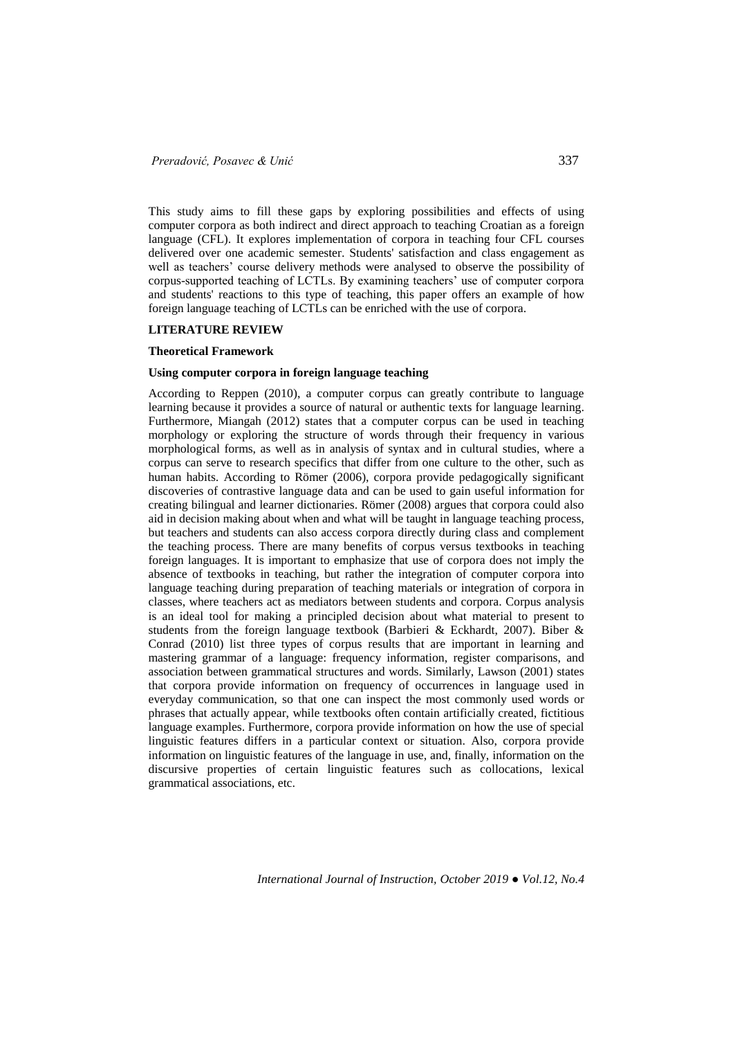This study aims to fill these gaps by exploring possibilities and effects of using computer corpora as both indirect and direct approach to teaching Croatian as a foreign language (CFL). It explores implementation of corpora in teaching four CFL courses delivered over one academic semester. Students' satisfaction and class engagement as well as teachers' course delivery methods were analysed to observe the possibility of corpus-supported teaching of LCTLs. By examining teachers' use of computer corpora and students' reactions to this type of teaching, this paper offers an example of how foreign language teaching of LCTLs can be enriched with the use of corpora.

#### **LITERATURE REVIEW**

#### **Theoretical Framework**

#### **Using computer corpora in foreign language teaching**

According to Reppen (2010), a computer corpus can greatly contribute to language learning because it provides a source of natural or authentic texts for language learning. Furthermore, Miangah (2012) states that a computer corpus can be used in teaching morphology or exploring the structure of words through their frequency in various morphological forms, as well as in analysis of syntax and in cultural studies, where a corpus can serve to research specifics that differ from one culture to the other, such as human habits. According to Römer (2006), corpora provide pedagogically significant discoveries of contrastive language data and can be used to gain useful information for creating bilingual and learner dictionaries. Römer (2008) argues that corpora could also aid in decision making about when and what will be taught in language teaching process, but teachers and students can also access corpora directly during class and complement the teaching process. There are many benefits of corpus versus textbooks in teaching foreign languages. It is important to emphasize that use of corpora does not imply the absence of textbooks in teaching, but rather the integration of computer corpora into language teaching during preparation of teaching materials or integration of corpora in classes, where teachers act as mediators between students and corpora. Corpus analysis is an ideal tool for making a principled decision about what material to present to students from the foreign language textbook (Barbieri & Eckhardt, 2007). Biber & Conrad (2010) list three types of corpus results that are important in learning and mastering grammar of a language: frequency information, register comparisons, and association between grammatical structures and words. Similarly, Lawson (2001) states that corpora provide information on frequency of occurrences in language used in everyday communication, so that one can inspect the most commonly used words or phrases that actually appear, while textbooks often contain artificially created, fictitious language examples. Furthermore, corpora provide information on how the use of special linguistic features differs in a particular context or situation. Also, corpora provide information on linguistic features of the language in use, and, finally, information on the discursive properties of certain linguistic features such as collocations, lexical grammatical associations, etc.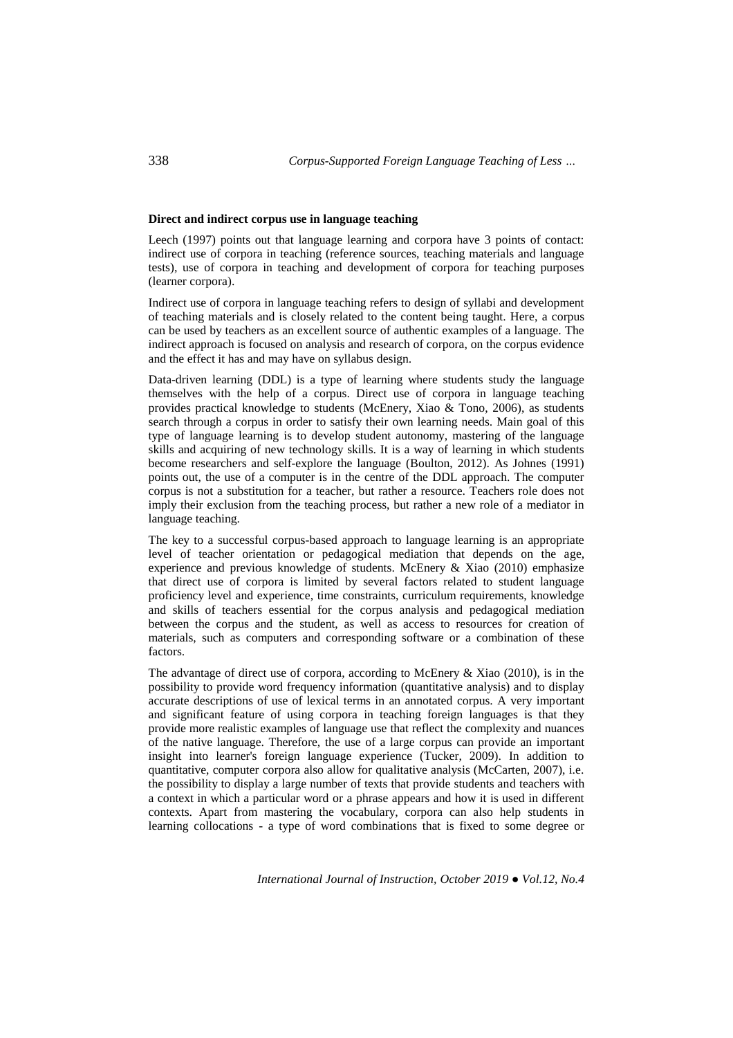#### **Direct and indirect corpus use in language teaching**

Leech (1997) points out that language learning and corpora have 3 points of contact: indirect use of corpora in teaching (reference sources, teaching materials and language tests), use of corpora in teaching and development of corpora for teaching purposes (learner corpora).

Indirect use of corpora in language teaching refers to design of syllabi and development of teaching materials and is closely related to the content being taught. Here, a corpus can be used by teachers as an excellent source of authentic examples of a language. The indirect approach is focused on analysis and research of corpora, on the corpus evidence and the effect it has and may have on syllabus design.

Data-driven learning (DDL) is a type of learning where students study the language themselves with the help of a corpus. Direct use of corpora in language teaching provides practical knowledge to students (McEnery, Xiao & Tono, 2006), as students search through a corpus in order to satisfy their own learning needs. Main goal of this type of language learning is to develop student autonomy, mastering of the language skills and acquiring of new technology skills. It is a way of learning in which students become researchers and self-explore the language (Boulton, 2012). As Johnes (1991) points out, the use of a computer is in the centre of the DDL approach. The computer corpus is not a substitution for a teacher, but rather a resource. Teachers role does not imply their exclusion from the teaching process, but rather a new role of a mediator in language teaching.

The key to a successful corpus-based approach to language learning is an appropriate level of teacher orientation or pedagogical mediation that depends on the age, experience and previous knowledge of students. McEnery & Xiao (2010) emphasize that direct use of corpora is limited by several factors related to student language proficiency level and experience, time constraints, curriculum requirements, knowledge and skills of teachers essential for the corpus analysis and pedagogical mediation between the corpus and the student, as well as access to resources for creation of materials, such as computers and corresponding software or a combination of these factors.

The advantage of direct use of corpora, according to McEnery & Xiao (2010), is in the possibility to provide word frequency information (quantitative analysis) and to display accurate descriptions of use of lexical terms in an annotated corpus. A very important and significant feature of using corpora in teaching foreign languages is that they provide more realistic examples of language use that reflect the complexity and nuances of the native language. Therefore, the use of a large corpus can provide an important insight into learner's foreign language experience (Tucker, 2009). In addition to quantitative, computer corpora also allow for qualitative analysis (McCarten, 2007), i.e. the possibility to display a large number of texts that provide students and teachers with a context in which a particular word or a phrase appears and how it is used in different contexts. Apart from mastering the vocabulary, corpora can also help students in learning collocations - a type of word combinations that is fixed to some degree or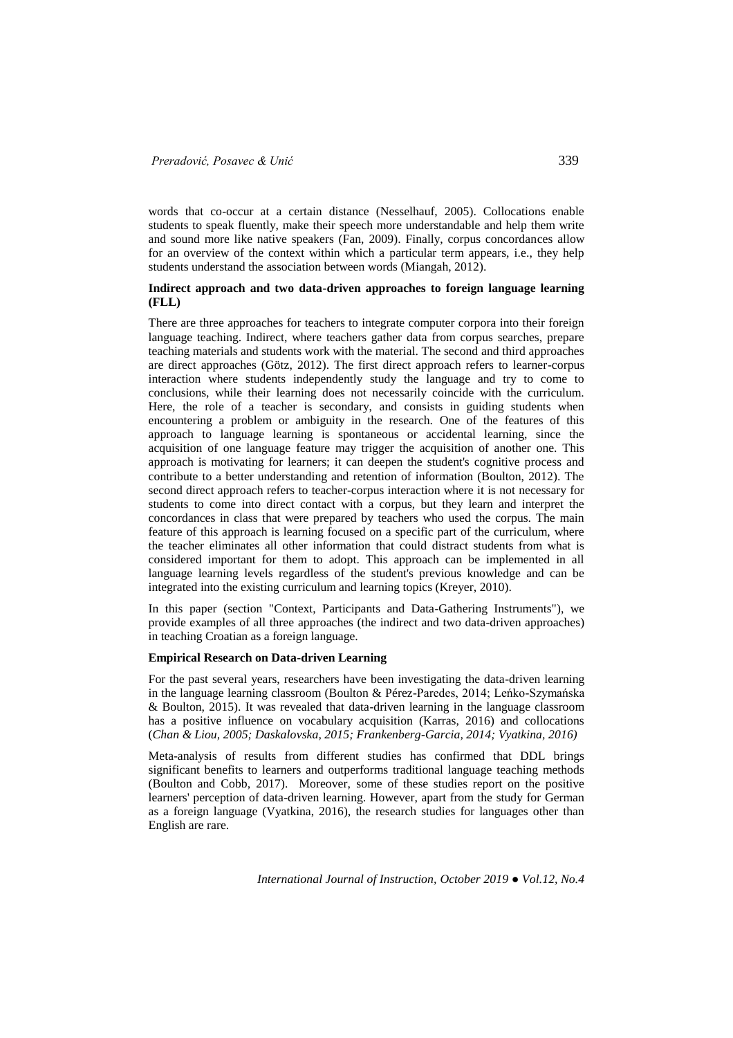words that co-occur at a certain distance (Nesselhauf, 2005). Collocations enable students to speak fluently, make their speech more understandable and help them write and sound more like native speakers (Fan, 2009). Finally, corpus concordances allow for an overview of the context within which a particular term appears, i.e., they help students understand the association between words (Miangah, 2012).

### **Indirect approach and two data-driven approaches to foreign language learning (FLL)**

There are three approaches for teachers to integrate computer corpora into their foreign language teaching. Indirect, where teachers gather data from corpus searches, prepare teaching materials and students work with the material. The second and third approaches are direct approaches (Götz, 2012). The first direct approach refers to learner-corpus interaction where students independently study the language and try to come to conclusions, while their learning does not necessarily coincide with the curriculum. Here, the role of a teacher is secondary, and consists in guiding students when encountering a problem or ambiguity in the research. One of the features of this approach to language learning is spontaneous or accidental learning, since the acquisition of one language feature may trigger the acquisition of another one. This approach is motivating for learners; it can deepen the student's cognitive process and contribute to a better understanding and retention of information (Boulton, 2012). The second direct approach refers to teacher-corpus interaction where it is not necessary for students to come into direct contact with a corpus, but they learn and interpret the concordances in class that were prepared by teachers who used the corpus. The main feature of this approach is learning focused on a specific part of the curriculum, where the teacher eliminates all other information that could distract students from what is considered important for them to adopt. This approach can be implemented in all language learning levels regardless of the student's previous knowledge and can be integrated into the existing curriculum and learning topics (Kreyer, 2010).

In this paper (section "Context, Participants and Data-Gathering Instruments"), we provide examples of all three approaches (the indirect and two data-driven approaches) in teaching Croatian as a foreign language.

# **Empirical Research on Data-driven Learning**

For the past several years, researchers have been investigating the data-driven learning in the language learning classroom (Boulton & Pérez-Paredes, 2014; Leńko-Szymańska & Boulton, 2015). It was revealed that data-driven learning in the language classroom has a positive influence on vocabulary acquisition (Karras, 2016) and collocations (*Chan & Liou, 2005; Daskalovska, 2015; Frankenberg-Garcia, 2014; Vyatkina, 2016)*

Meta-analysis of results from different studies has confirmed that DDL brings significant benefits to learners and outperforms traditional language teaching methods (Boulton and Cobb, 2017). Moreover, some of these studies report on the positive learners' perception of data-driven learning. However, apart from the study for German as a foreign language (Vyatkina, 2016), the research studies for languages other than English are rare.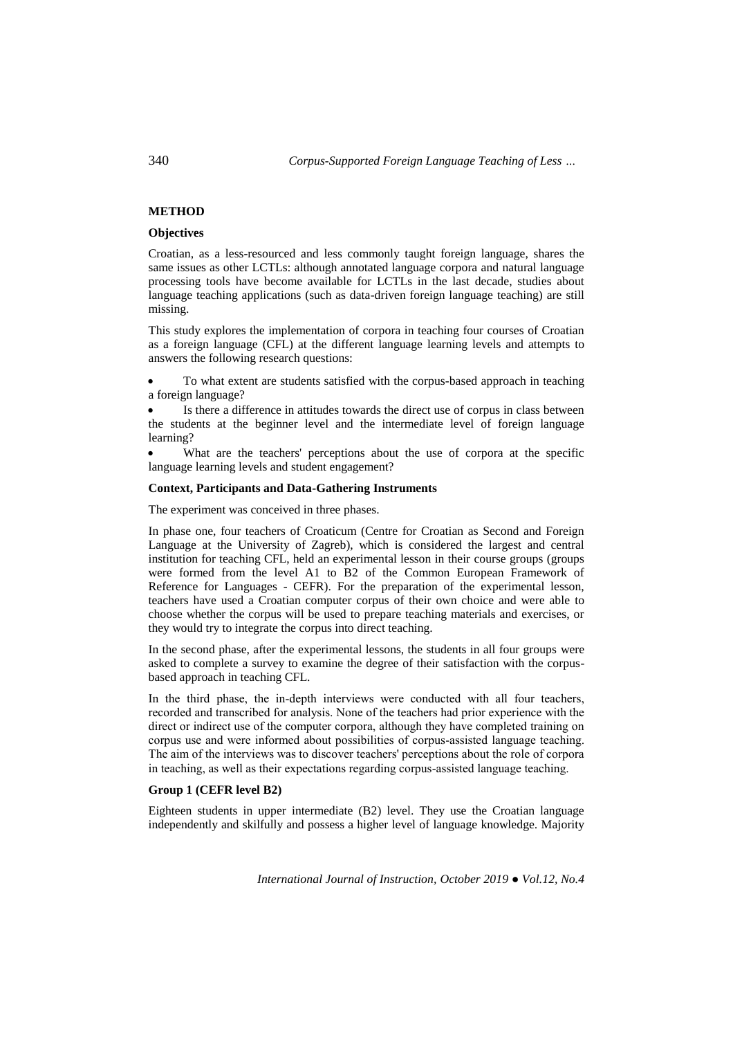# **METHOD**

# **Objectives**

Croatian, as a less-resourced and less commonly taught foreign language, shares the same issues as other LCTLs: although annotated language corpora and natural language processing tools have become available for LCTLs in the last decade, studies about language teaching applications (such as data-driven foreign language teaching) are still missing.

This study explores the implementation of corpora in teaching four courses of Croatian as a foreign language (CFL) at the different language learning levels and attempts to answers the following research questions:

 To what extent are students satisfied with the corpus-based approach in teaching a foreign language?

 Is there a difference in attitudes towards the direct use of corpus in class between the students at the beginner level and the intermediate level of foreign language learning?

 What are the teachers' perceptions about the use of corpora at the specific language learning levels and student engagement?

#### **Context, Participants and Data-Gathering Instruments**

The experiment was conceived in three phases.

In phase one, four teachers of Croaticum (Centre for Croatian as Second and Foreign Language at the University of Zagreb), which is considered the largest and central institution for teaching CFL, held an experimental lesson in their course groups (groups were formed from the level A1 to B2 of the Common European Framework of Reference for Languages - CEFR). For the preparation of the experimental lesson, teachers have used a Croatian computer corpus of their own choice and were able to choose whether the corpus will be used to prepare teaching materials and exercises, or they would try to integrate the corpus into direct teaching.

In the second phase, after the experimental lessons, the students in all four groups were asked to complete a survey to examine the degree of their satisfaction with the corpusbased approach in teaching CFL.

In the third phase, the in-depth interviews were conducted with all four teachers, recorded and transcribed for analysis. None of the teachers had prior experience with the direct or indirect use of the computer corpora, although they have completed training on corpus use and were informed about possibilities of corpus-assisted language teaching. The aim of the interviews was to discover teachers' perceptions about the role of corpora in teaching, as well as their expectations regarding corpus-assisted language teaching.

# **Group 1 (CEFR level B2)**

Eighteen students in upper intermediate (B2) level. They use the Croatian language independently and skilfully and possess a higher level of language knowledge. Majority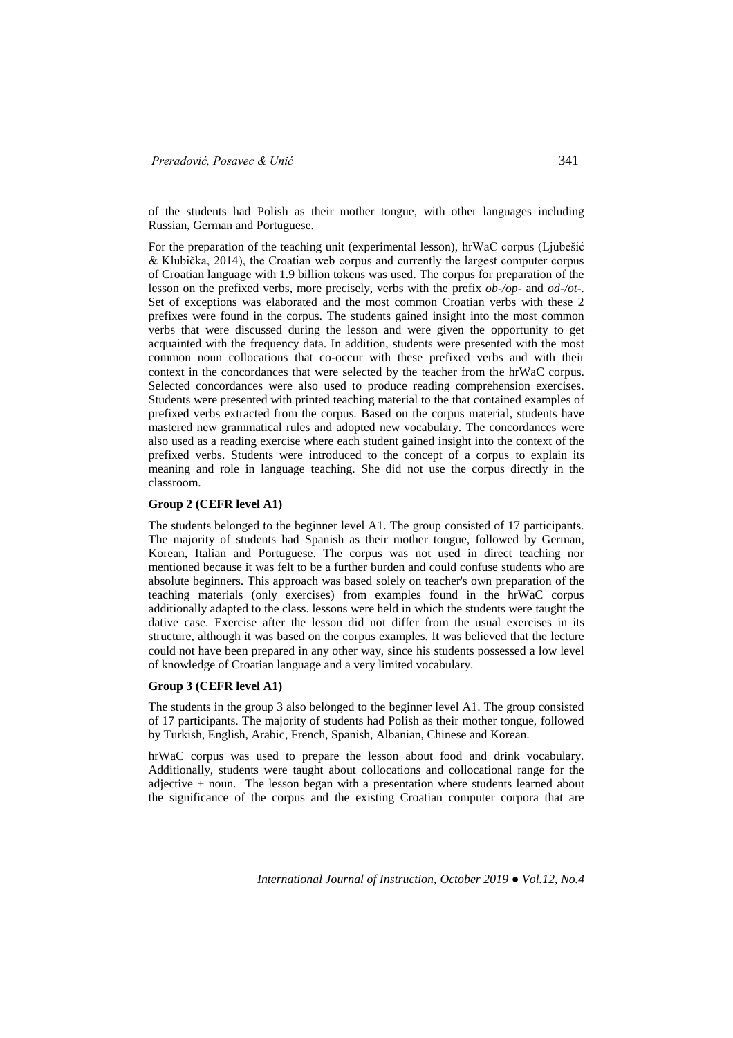of the students had Polish as their mother tongue, with other languages including Russian, German and Portuguese.

For the preparation of the teaching unit (experimental lesson), hrWaC corpus (Ljubešić & Klubička, 2014), the Croatian web corpus and currently the largest computer corpus of Croatian language with 1.9 billion tokens was used. The corpus for preparation of the lesson on the prefixed verbs, more precisely, verbs with the prefix *ob-/op*- and *od-/ot-.* Set of exceptions was elaborated and the most common Croatian verbs with these 2 prefixes were found in the corpus. The students gained insight into the most common verbs that were discussed during the lesson and were given the opportunity to get acquainted with the frequency data. In addition, students were presented with the most common noun collocations that co-occur with these prefixed verbs and with their context in the concordances that were selected by the teacher from the hrWaC corpus. Selected concordances were also used to produce reading comprehension exercises. Students were presented with printed teaching material to the that contained examples of prefixed verbs extracted from the corpus. Based on the corpus material, students have mastered new grammatical rules and adopted new vocabulary. The concordances were also used as a reading exercise where each student gained insight into the context of the prefixed verbs. Students were introduced to the concept of a corpus to explain its meaning and role in language teaching. She did not use the corpus directly in the classroom.

#### **Group 2 (CEFR level A1)**

The students belonged to the beginner level A1. The group consisted of 17 participants. The majority of students had Spanish as their mother tongue, followed by German, Korean, Italian and Portuguese. The corpus was not used in direct teaching nor mentioned because it was felt to be a further burden and could confuse students who are absolute beginners. This approach was based solely on teacher's own preparation of the teaching materials (only exercises) from examples found in the hrWaC corpus additionally adapted to the class. lessons were held in which the students were taught the dative case. Exercise after the lesson did not differ from the usual exercises in its structure, although it was based on the corpus examples. It was believed that the lecture could not have been prepared in any other way, since his students possessed a low level of knowledge of Croatian language and a very limited vocabulary.

### **Group 3 (CEFR level A1)**

The students in the group 3 also belonged to the beginner level A1. The group consisted of 17 participants. The majority of students had Polish as their mother tongue, followed by Turkish, English, Arabic, French, Spanish, Albanian, Chinese and Korean.

hrWaC corpus was used to prepare the lesson about food and drink vocabulary. Additionally, students were taught about collocations and collocational range for the adjective + noun. The lesson began with a presentation where students learned about the significance of the corpus and the existing Croatian computer corpora that are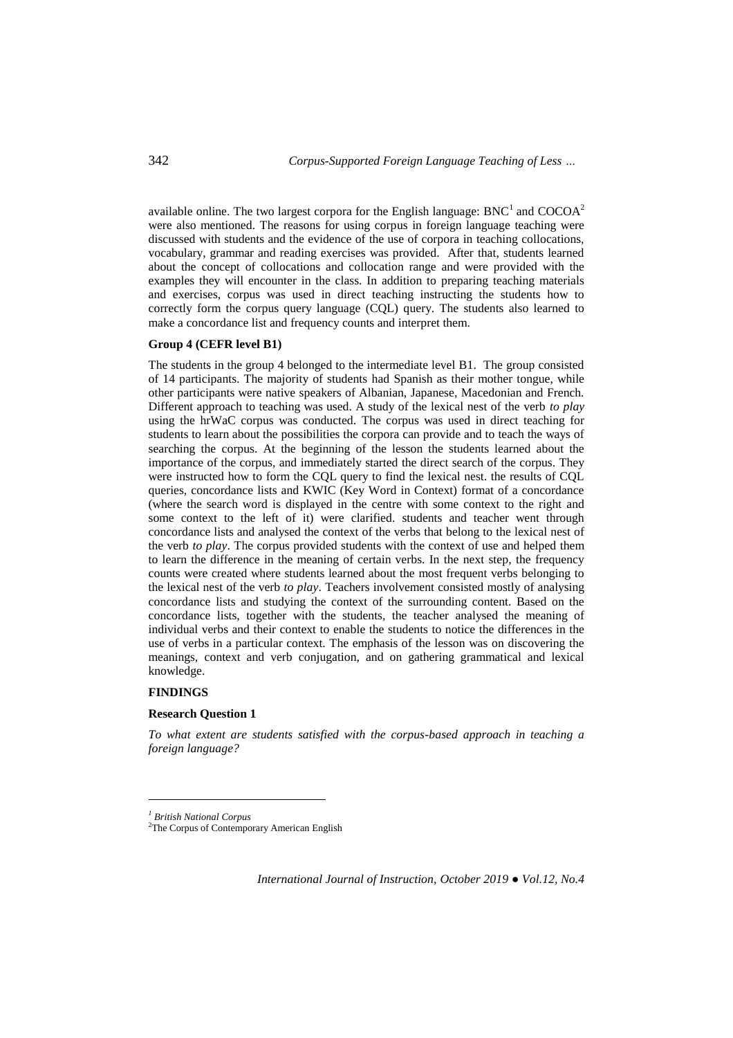available online. The two largest corpora for the English language: BNC<sup>1</sup> and COCOA<sup>2</sup> were also mentioned. The reasons for using corpus in foreign language teaching were discussed with students and the evidence of the use of corpora in teaching collocations, vocabulary, grammar and reading exercises was provided. After that, students learned about the concept of collocations and collocation range and were provided with the examples they will encounter in the class. In addition to preparing teaching materials and exercises, corpus was used in direct teaching instructing the students how to correctly form the corpus query language (CQL) query. The students also learned to make a concordance list and frequency counts and interpret them.

## **Group 4 (CEFR level B1)**

The students in the group 4 belonged to the intermediate level B1. The group consisted of 14 participants. The majority of students had Spanish as their mother tongue, while other participants were native speakers of Albanian, Japanese, Macedonian and French. Different approach to teaching was used. A study of the lexical nest of the verb *to play* using the hrWaC corpus was conducted. The corpus was used in direct teaching for students to learn about the possibilities the corpora can provide and to teach the ways of searching the corpus. At the beginning of the lesson the students learned about the importance of the corpus, and immediately started the direct search of the corpus. They were instructed how to form the CQL query to find the lexical nest. the results of CQL queries, concordance lists and KWIC (Key Word in Context) format of a concordance (where the search word is displayed in the centre with some context to the right and some context to the left of it) were clarified. students and teacher went through concordance lists and analysed the context of the verbs that belong to the lexical nest of the verb *to play*. The corpus provided students with the context of use and helped them to learn the difference in the meaning of certain verbs. In the next step, the frequency counts were created where students learned about the most frequent verbs belonging to the lexical nest of the verb *to play*. Teachers involvement consisted mostly of analysing concordance lists and studying the context of the surrounding content. Based on the concordance lists, together with the students, the teacher analysed the meaning of individual verbs and their context to enable the students to notice the differences in the use of verbs in a particular context. The emphasis of the lesson was on discovering the meanings, context and verb conjugation, and on gathering grammatical and lexical knowledge.

### **FINDINGS**

 $\overline{a}$ 

#### **Research Question 1**

*To what extent are students satisfied with the corpus-based approach in teaching a foreign language?* 

*<sup>1</sup> British National Corpus*

<sup>&</sup>lt;sup>2</sup>The Corpus of Contemporary American English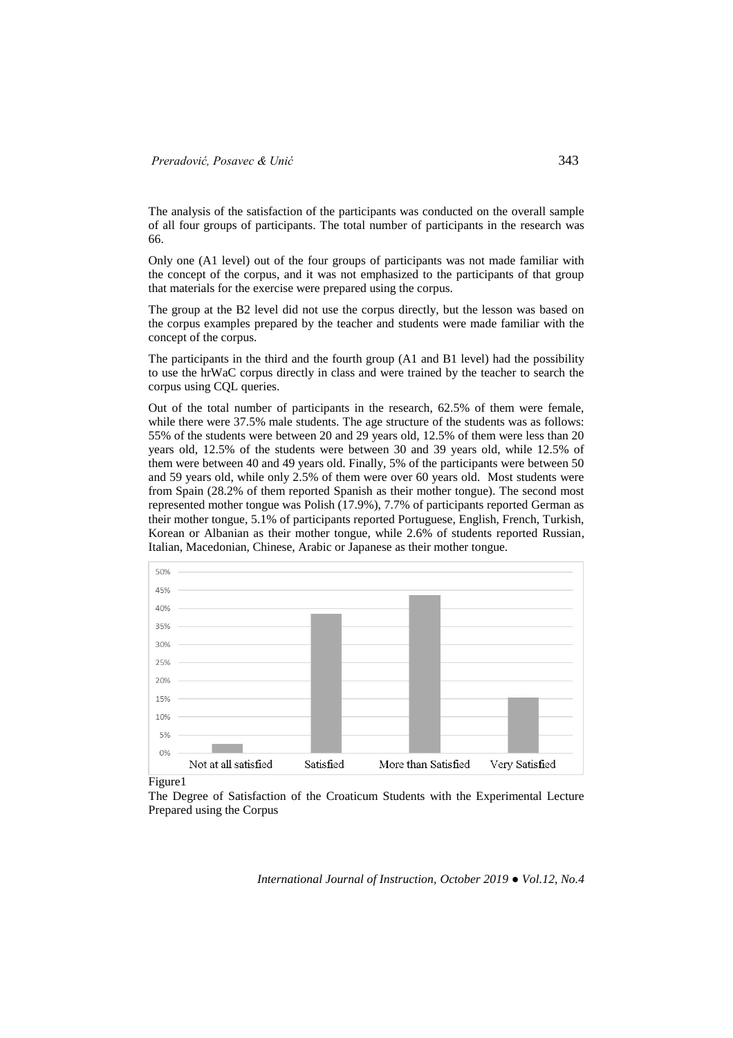The analysis of the satisfaction of the participants was conducted on the overall sample of all four groups of participants. The total number of participants in the research was 66.

Only one (A1 level) out of the four groups of participants was not made familiar with the concept of the corpus, and it was not emphasized to the participants of that group that materials for the exercise were prepared using the corpus.

The group at the B2 level did not use the corpus directly, but the lesson was based on the corpus examples prepared by the teacher and students were made familiar with the concept of the corpus.

The participants in the third and the fourth group (A1 and B1 level) had the possibility to use the hrWaC corpus directly in class and were trained by the teacher to search the corpus using CQL queries.

Out of the total number of participants in the research, 62.5% of them were female, while there were 37.5% male students. The age structure of the students was as follows: 55% of the students were between 20 and 29 years old, 12.5% of them were less than 20 years old, 12.5% of the students were between 30 and 39 years old, while 12.5% of them were between 40 and 49 years old. Finally, 5% of the participants were between 50 and 59 years old, while only 2.5% of them were over 60 years old. Most students were from Spain (28.2% of them reported Spanish as their mother tongue). The second most represented mother tongue was Polish (17.9%), 7.7% of participants reported German as their mother tongue, 5.1% of participants reported Portuguese, English, French, Turkish, Korean or Albanian as their mother tongue, while 2.6% of students reported Russian, Italian, Macedonian, Chinese, Arabic or Japanese as their mother tongue.



Figure1

The Degree of Satisfaction of the Croaticum Students with the Experimental Lecture Prepared using the Corpus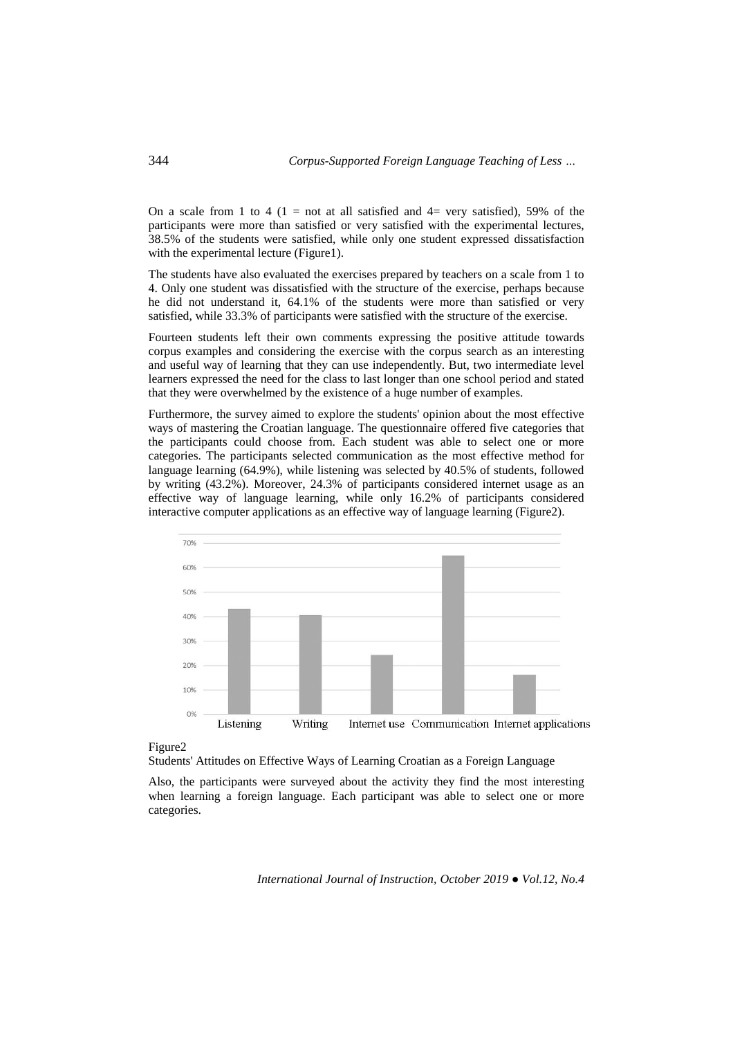On a scale from 1 to 4 (1 = not at all satisfied and  $4=$  very satisfied), 59% of the participants were more than satisfied or very satisfied with the experimental lectures, 38.5% of the students were satisfied, while only one student expressed dissatisfaction with the experimental lecture (Figure1).

The students have also evaluated the exercises prepared by teachers on a scale from 1 to 4. Only one student was dissatisfied with the structure of the exercise, perhaps because he did not understand it, 64.1% of the students were more than satisfied or very satisfied, while 33.3% of participants were satisfied with the structure of the exercise.

Fourteen students left their own comments expressing the positive attitude towards corpus examples and considering the exercise with the corpus search as an interesting and useful way of learning that they can use independently. But, two intermediate level learners expressed the need for the class to last longer than one school period and stated that they were overwhelmed by the existence of a huge number of examples.

Furthermore, the survey aimed to explore the students' opinion about the most effective ways of mastering the Croatian language. The questionnaire offered five categories that the participants could choose from. Each student was able to select one or more categories. The participants selected communication as the most effective method for language learning (64.9%), while listening was selected by 40.5% of students, followed by writing (43.2%). Moreover, 24.3% of participants considered internet usage as an effective way of language learning, while only 16.2% of participants considered interactive computer applications as an effective way of language learning (Figure2).



Figure2

Students' Attitudes on Effective Ways of Learning Croatian as a Foreign Language

Also, the participants were surveyed about the activity they find the most interesting when learning a foreign language. Each participant was able to select one or more categories.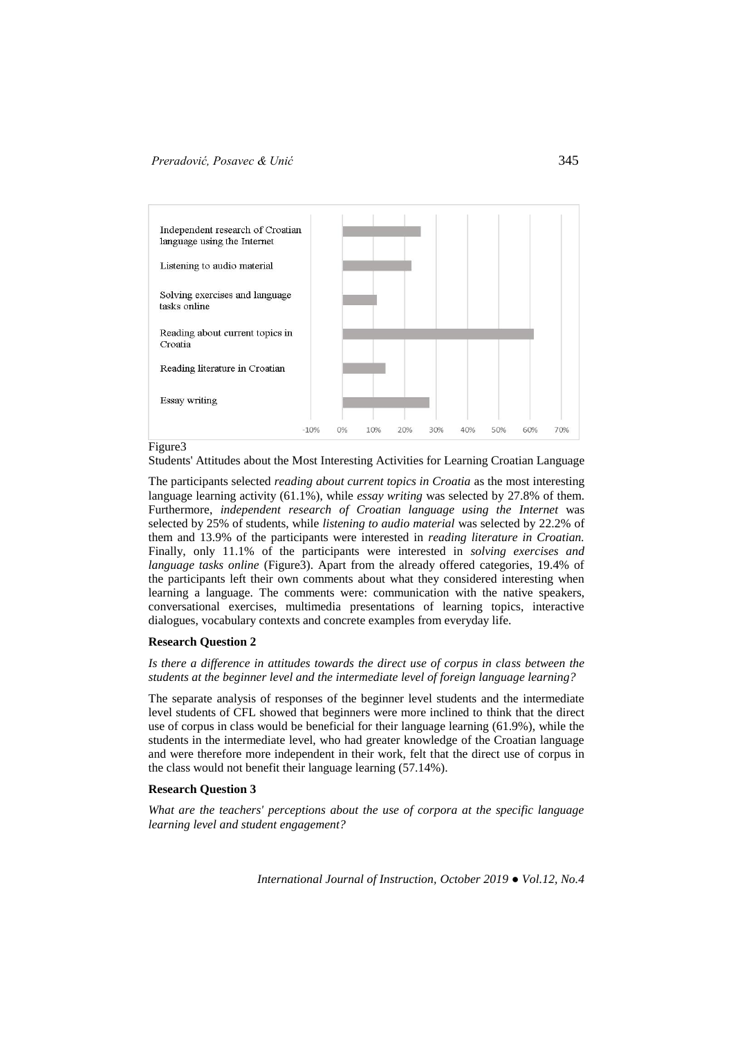

#### Figure3

Students' Attitudes about the Most Interesting Activities for Learning Croatian Language

The participants selected *reading about current topics in Croatia* as the most interesting language learning activity (61.1%), while *essay writing* was selected by 27.8% of them. Furthermore, *independent research of Croatian language using the Internet* was selected by 25% of students, while *listening to audio material* was selected by 22.2% of them and 13.9% of the participants were interested in *reading literature in Croatian.*  Finally, only 11.1% of the participants were interested in *solving exercises and language tasks online* (Figure3). Apart from the already offered categories, 19.4% of the participants left their own comments about what they considered interesting when learning a language. The comments were: communication with the native speakers, conversational exercises, multimedia presentations of learning topics, interactive dialogues, vocabulary contexts and concrete examples from everyday life.

# **Research Question 2**

*Is there a difference in attitudes towards the direct use of corpus in class between the students at the beginner level and the intermediate level of foreign language learning?*

The separate analysis of responses of the beginner level students and the intermediate level students of CFL showed that beginners were more inclined to think that the direct use of corpus in class would be beneficial for their language learning (61.9%), while the students in the intermediate level, who had greater knowledge of the Croatian language and were therefore more independent in their work, felt that the direct use of corpus in the class would not benefit their language learning (57.14%).

# **Research Question 3**

*What are the teachers' perceptions about the use of corpora at the specific language learning level and student engagement?*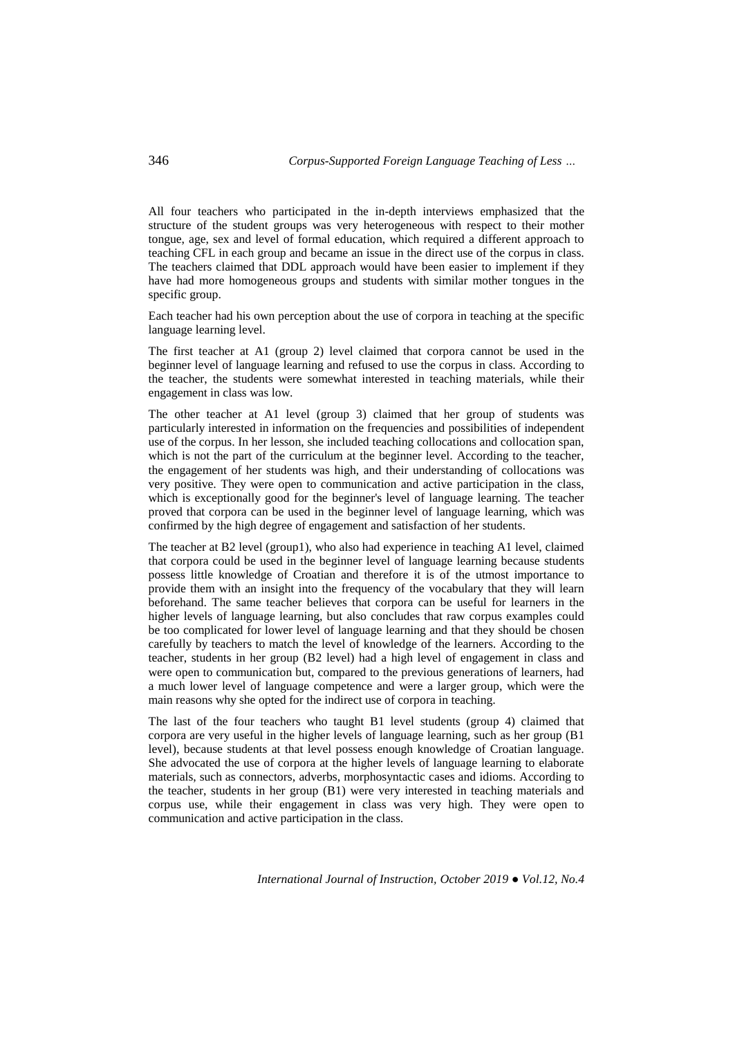All four teachers who participated in the in-depth interviews emphasized that the structure of the student groups was very heterogeneous with respect to their mother tongue, age, sex and level of formal education, which required a different approach to teaching CFL in each group and became an issue in the direct use of the corpus in class. The teachers claimed that DDL approach would have been easier to implement if they have had more homogeneous groups and students with similar mother tongues in the specific group.

Each teacher had his own perception about the use of corpora in teaching at the specific language learning level.

The first teacher at A1 (group 2) level claimed that corpora cannot be used in the beginner level of language learning and refused to use the corpus in class. According to the teacher, the students were somewhat interested in teaching materials, while their engagement in class was low.

The other teacher at A1 level (group 3) claimed that her group of students was particularly interested in information on the frequencies and possibilities of independent use of the corpus. In her lesson, she included teaching collocations and collocation span, which is not the part of the curriculum at the beginner level. According to the teacher, the engagement of her students was high, and their understanding of collocations was very positive. They were open to communication and active participation in the class, which is exceptionally good for the beginner's level of language learning. The teacher proved that corpora can be used in the beginner level of language learning, which was confirmed by the high degree of engagement and satisfaction of her students.

The teacher at B2 level (group1), who also had experience in teaching A1 level, claimed that corpora could be used in the beginner level of language learning because students possess little knowledge of Croatian and therefore it is of the utmost importance to provide them with an insight into the frequency of the vocabulary that they will learn beforehand. The same teacher believes that corpora can be useful for learners in the higher levels of language learning, but also concludes that raw corpus examples could be too complicated for lower level of language learning and that they should be chosen carefully by teachers to match the level of knowledge of the learners. According to the teacher, students in her group (B2 level) had a high level of engagement in class and were open to communication but, compared to the previous generations of learners, had a much lower level of language competence and were a larger group, which were the main reasons why she opted for the indirect use of corpora in teaching.

The last of the four teachers who taught B1 level students (group 4) claimed that corpora are very useful in the higher levels of language learning, such as her group (B1 level), because students at that level possess enough knowledge of Croatian language. She advocated the use of corpora at the higher levels of language learning to elaborate materials, such as connectors, adverbs, morphosyntactic cases and idioms. According to the teacher, students in her group (B1) were very interested in teaching materials and corpus use, while their engagement in class was very high. They were open to communication and active participation in the class.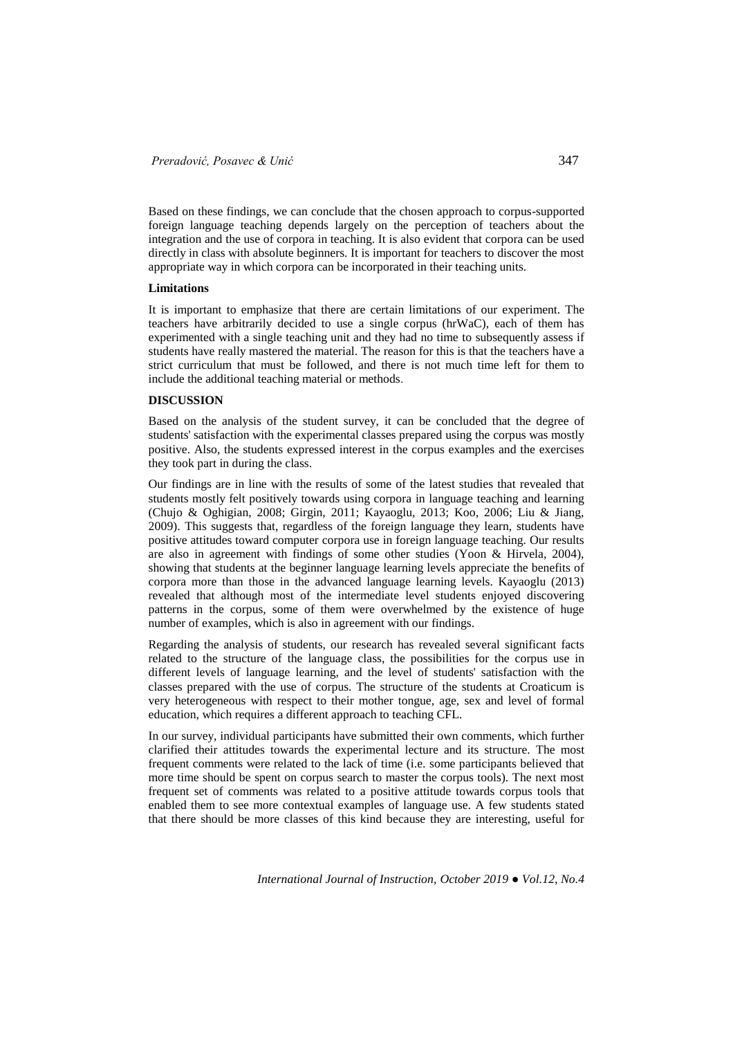Based on these findings, we can conclude that the chosen approach to corpus-supported foreign language teaching depends largely on the perception of teachers about the integration and the use of corpora in teaching. It is also evident that corpora can be used directly in class with absolute beginners. It is important for teachers to discover the most appropriate way in which corpora can be incorporated in their teaching units.

#### **Limitations**

It is important to emphasize that there are certain limitations of our experiment. The teachers have arbitrarily decided to use a single corpus (hrWaC), each of them has experimented with a single teaching unit and they had no time to subsequently assess if students have really mastered the material. The reason for this is that the teachers have a strict curriculum that must be followed, and there is not much time left for them to include the additional teaching material or methods.

#### **DISCUSSION**

Based on the analysis of the student survey, it can be concluded that the degree of students' satisfaction with the experimental classes prepared using the corpus was mostly positive. Also, the students expressed interest in the corpus examples and the exercises they took part in during the class.

Our findings are in line with the results of some of the latest studies that revealed that students mostly felt positively towards using corpora in language teaching and learning (Chujo & Oghigian, 2008; Girgin, 2011; Kayaoglu, 2013; Koo, 2006; Liu & Jiang, 2009). This suggests that, regardless of the foreign language they learn, students have positive attitudes toward computer corpora use in foreign language teaching. Our results are also in agreement with findings of some other studies (Yoon & Hirvela, 2004), showing that students at the beginner language learning levels appreciate the benefits of corpora more than those in the advanced language learning levels. Kayaoglu (2013) revealed that although most of the intermediate level students enjoyed discovering patterns in the corpus, some of them were overwhelmed by the existence of huge number of examples, which is also in agreement with our findings.

Regarding the analysis of students, our research has revealed several significant facts related to the structure of the language class, the possibilities for the corpus use in different levels of language learning, and the level of students' satisfaction with the classes prepared with the use of corpus. The structure of the students at Croaticum is very heterogeneous with respect to their mother tongue, age, sex and level of formal education, which requires a different approach to teaching CFL.

In our survey, individual participants have submitted their own comments, which further clarified their attitudes towards the experimental lecture and its structure. The most frequent comments were related to the lack of time (i.e. some participants believed that more time should be spent on corpus search to master the corpus tools). The next most frequent set of comments was related to a positive attitude towards corpus tools that enabled them to see more contextual examples of language use. A few students stated that there should be more classes of this kind because they are interesting, useful for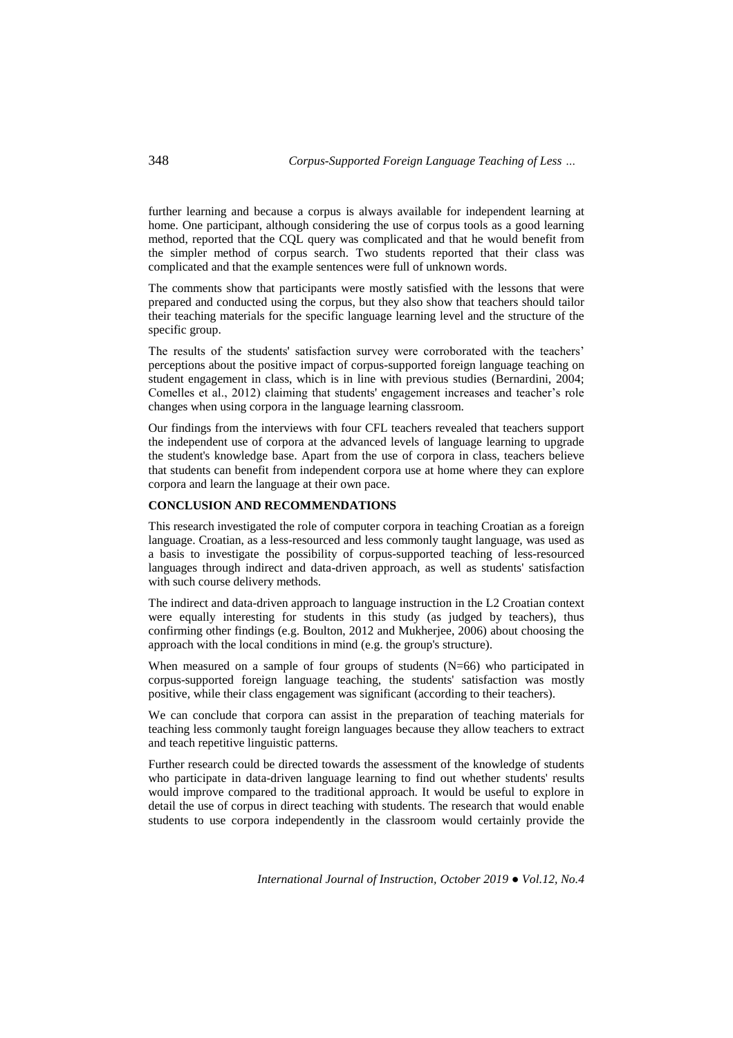further learning and because a corpus is always available for independent learning at home. One participant, although considering the use of corpus tools as a good learning method, reported that the CQL query was complicated and that he would benefit from the simpler method of corpus search. Two students reported that their class was complicated and that the example sentences were full of unknown words.

The comments show that participants were mostly satisfied with the lessons that were prepared and conducted using the corpus, but they also show that teachers should tailor their teaching materials for the specific language learning level and the structure of the specific group.

The results of the students' satisfaction survey were corroborated with the teachers' perceptions about the positive impact of corpus-supported foreign language teaching on student engagement in class, which is in line with previous studies (Bernardini, 2004; Comelles et al., 2012) claiming that students' engagement increases and teacher's role changes when using corpora in the language learning classroom.

Our findings from the interviews with four CFL teachers revealed that teachers support the independent use of corpora at the advanced levels of language learning to upgrade the student's knowledge base. Apart from the use of corpora in class, teachers believe that students can benefit from independent corpora use at home where they can explore corpora and learn the language at their own pace.

# **CONCLUSION AND RECOMMENDATIONS**

This research investigated the role of computer corpora in teaching Croatian as a foreign language. Croatian, as a less-resourced and less commonly taught language, was used as a basis to investigate the possibility of corpus-supported teaching of less-resourced languages through indirect and data-driven approach, as well as students' satisfaction with such course delivery methods.

The indirect and data-driven approach to language instruction in the L2 Croatian context were equally interesting for students in this study (as judged by teachers), thus confirming other findings (e.g. Boulton, 2012 and Mukherjee, 2006) about choosing the approach with the local conditions in mind (e.g. the group's structure).

When measured on a sample of four groups of students (N=66) who participated in corpus-supported foreign language teaching, the students' satisfaction was mostly positive, while their class engagement was significant (according to their teachers).

We can conclude that corpora can assist in the preparation of teaching materials for teaching less commonly taught foreign languages because they allow teachers to extract and teach repetitive linguistic patterns.

Further research could be directed towards the assessment of the knowledge of students who participate in data-driven language learning to find out whether students' results would improve compared to the traditional approach. It would be useful to explore in detail the use of corpus in direct teaching with students. The research that would enable students to use corpora independently in the classroom would certainly provide the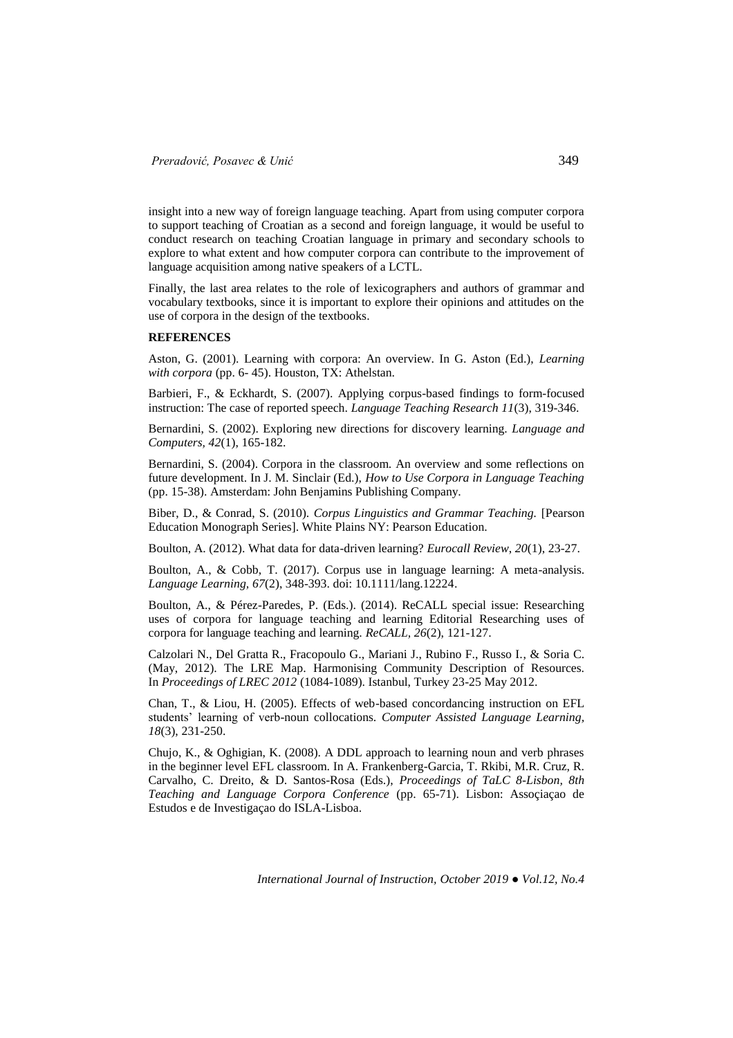insight into a new way of foreign language teaching. Apart from using computer corpora to support teaching of Croatian as a second and foreign language, it would be useful to conduct research on teaching Croatian language in primary and secondary schools to explore to what extent and how computer corpora can contribute to the improvement of language acquisition among native speakers of a LCTL.

Finally, the last area relates to the role of lexicographers and authors of grammar and vocabulary textbooks, since it is important to explore their opinions and attitudes on the use of corpora in the design of the textbooks.

#### **REFERENCES**

Aston, G. (2001). Learning with corpora: An overview. In G. Aston (Ed.), *Learning with corpora* (pp. 6- 45). Houston, TX: Athelstan.

Barbieri, F., & Eckhardt, S. (2007). Applying corpus-based findings to form-focused instruction: The case of reported speech. *Language Teaching Research 11*(3), 319-346.

Bernardini, S. (2002). Exploring new directions for discovery learning. *Language and Computers, 42*(1), 165-182.

Bernardini, S. (2004). Corpora in the classroom. An overview and some reflections on future development. In J. M. Sinclair (Ed.), *How to Use Corpora in Language Teaching* (pp. 15-38). Amsterdam: John Benjamins Publishing Company.

Biber, D., & Conrad, S. (2010). *Corpus Linguistics and Grammar Teaching.* [Pearson Education Monograph Series]. White Plains NY: Pearson Education.

Boulton, A. (2012). What data for data-driven learning? *Eurocall Review*, *20*(1), 23-27.

Boulton, A., & Cobb, T. (2017). Corpus use in language learning: A meta-analysis. *Language Learning, 67*(2), 348-393. doi: 10.1111/lang.12224.

Boulton, A., & Pérez-Paredes, P. (Eds.). (2014). ReCALL special issue: Researching uses of corpora for language teaching and learning Editorial Researching uses of corpora for language teaching and learning. *ReCALL, 26*(2), 121-127.

Calzolari N., Del Gratta R., Fracopoulo G., Mariani J., Rubino F., Russo I., & Soria C. (May, 2012). The LRE Map. Harmonising Community Description of Resources. In *Proceedings of LREC 2012* (1084-1089). Istanbul, Turkey 23-25 May 2012.

Chan, T., & Liou, H. (2005). Effects of web-based concordancing instruction on EFL students' learning of verb-noun collocations. *Computer Assisted Language Learning, 18*(3), 231-250.

Chujo, K., & Oghigian, K. (2008). A DDL approach to learning noun and verb phrases in the beginner level EFL classroom. In A. Frankenberg-Garcia, T. Rkibi, M.R. Cruz, R. Carvalho, C. Dreito, & D. Santos-Rosa (Eds.), *Proceedings of TaLC 8-Lisbon, 8th Teaching and Language Corpora Conference* (pp. 65-71). Lisbon: Assoçiaçao de Estudos e de Investigaçao do ISLA-Lisboa.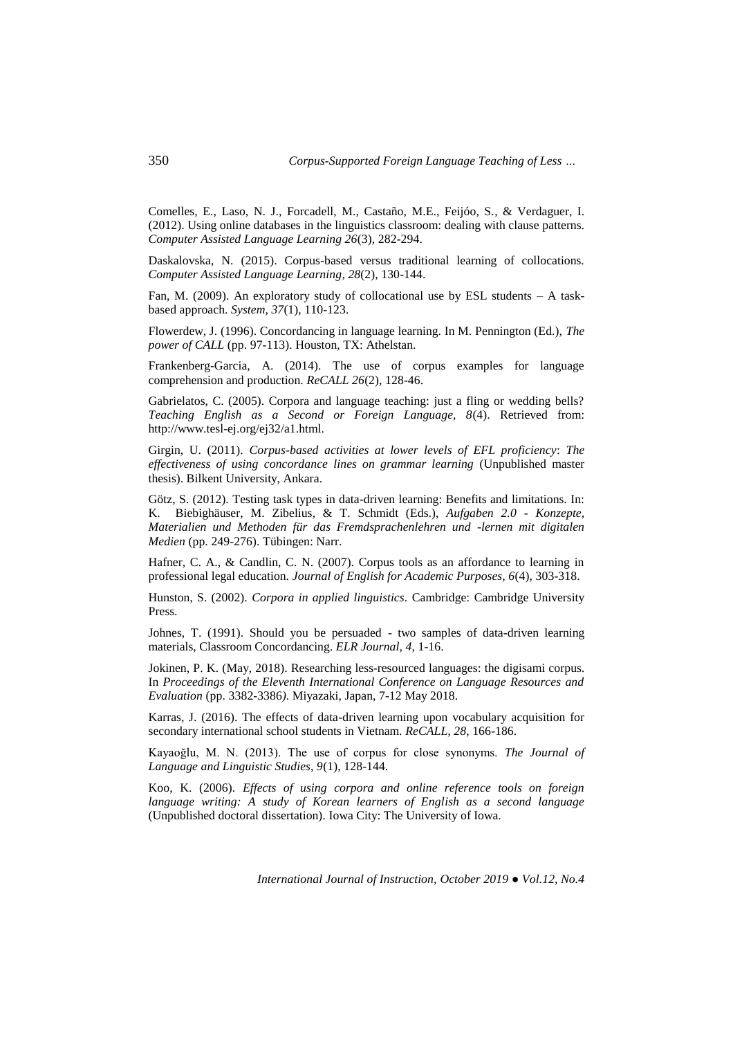Comelles, E., Laso, N. J., Forcadell, M., Castaño, M.E., Feijóo, S., & Verdaguer, I. (2012). Using online databases in the linguistics classroom: dealing with clause patterns. *Computer Assisted Language Learning 26*(3), 282-294.

Daskalovska, N. (2015). Corpus-based versus traditional learning of collocations. *Computer Assisted Language Learning*, *28*(2), 130-144.

Fan, M. (2009). An exploratory study of collocational use by ESL students – A taskbased approach. *System, 37*(1), 110-123.

Flowerdew, J. (1996). Concordancing in language learning. In M. Pennington (Ed.), *The power of CALL* (pp. 97-113). Houston, TX: Athelstan.

Frankenberg-Garcia, A. (2014). The use of corpus examples for language comprehension and production. *ReCALL 26*(2), 128-46.

Gabrielatos, C. (2005). Corpora and language teaching: just a fling or wedding bells? *Teaching English as a Second or Foreign Language, 8*(4). Retrieved from: http://www.tesl-ej.org/ej32/a1.html.

Girgin, U. (2011). *Corpus-based activities at lower levels of EFL proficiency*: *The effectiveness of using concordance lines on grammar learning* (Unpublished master thesis). Bilkent University, Ankara.

Götz, S. (2012). Testing task types in data-driven learning: Benefits and limitations. In: K. Biebighäuser, M. Zibelius, & T. Schmidt (Eds.), *Aufgaben 2.0 - Konzepte, Materialien und Methoden für das Fremdsprachenlehren und -lernen mit digitalen Medien* (pp. 249-276). Tübingen: Narr.

Hafner, C. A., & Candlin, C. N. (2007). Corpus tools as an affordance to learning in professional legal education. *Journal of English for Academic Purposes, 6*(4), 303-318.

Hunston, S. (2002). *Corpora in applied linguistics*. Cambridge: Cambridge University Press.

Johnes, T. (1991). Should you be persuaded - two samples of data-driven learning materials, Classroom Concordancing. *ELR Journal, 4,* 1-16.

Jokinen, P. K. (May, 2018). Researching less-resourced languages: the digisami corpus. In *Proceedings of the Eleventh International Conference on Language Resources and Evaluation* (pp. 3382-3386*)*. Miyazaki, Japan, 7-12 May 2018.

Karras, J. (2016). The effects of data-driven learning upon vocabulary acquisition for secondary international school students in Vietnam. *ReCALL, 28*, 166-186.

Kayaoğlu, M. N. (2013). The use of corpus for close synonyms. *The Journal of Language and Linguistic Studies, 9*(1), 128-144.

Koo, K. (2006). *Effects of using corpora and online reference tools on foreign language writing: A study of Korean learners of English as a second language* (Unpublished doctoral dissertation). Iowa City: The University of Iowa.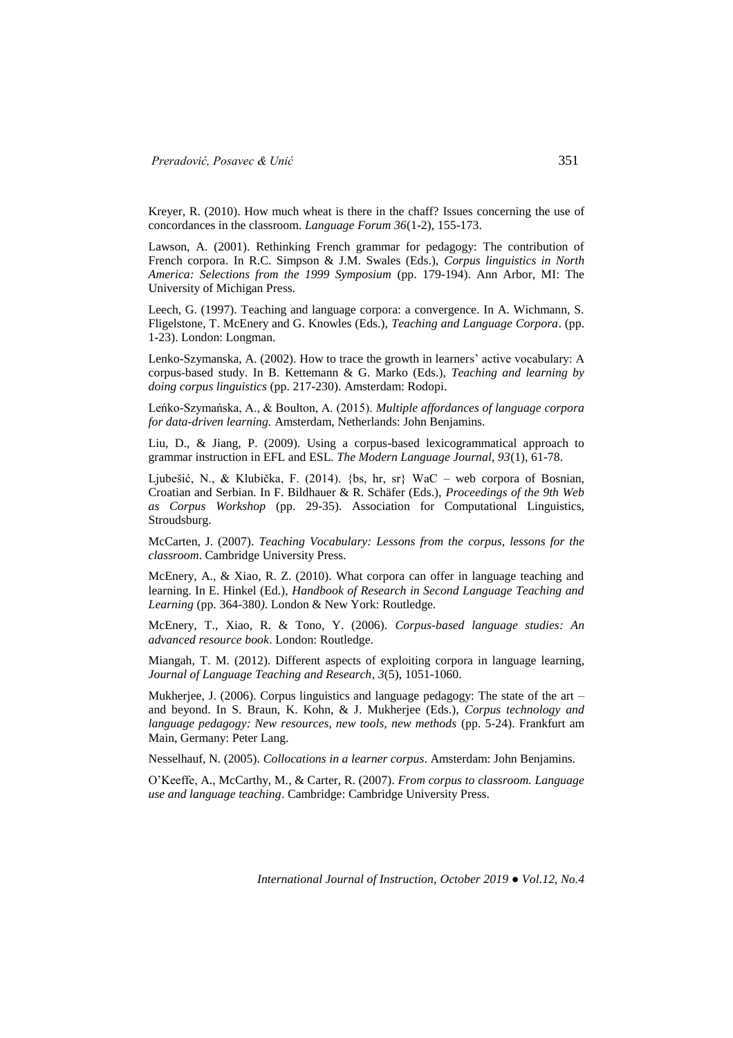Kreyer, R. (2010). How much wheat is there in the chaff? Issues concerning the use of concordances in the classroom. *Language Forum 36*(1-2), 155-173.

Lawson, A. (2001). Rethinking French grammar for pedagogy: The contribution of French corpora. In R.C. Simpson & J.M. Swales (Eds.), *Corpus linguistics in North America: Selections from the 1999 Symposium* (pp. 179-194). Ann Arbor, MI: The University of Michigan Press.

Leech, G. (1997). Teaching and language corpora: a convergence. In A. Wichmann, S. Fligelstone, T. McEnery and G. Knowles (Eds.), *Teaching and Language Corpora*. (pp. 1-23). London: Longman.

Lenko-Szymanska, A. (2002). How to trace the growth in learners' active vocabulary: A corpus-based study. In B. Kettemann & G. Marko (Eds.), *Teaching and learning by doing corpus linguistics* (pp. 217-230). Amsterdam: Rodopi.

Leńko-Szymańska, A., & Boulton, A. (2015). *Multiple affordances of language corpora for data-driven learning.* Amsterdam, Netherlands: John Benjamins.

Liu, D., & Jiang, P. (2009). Using a corpus-based lexicogrammatical approach to grammar instruction in EFL and ESL. *The Modern Language Journal, 93*(1), 61-78.

Ljubešić, N., & Klubička, F. (2014). {bs, hr, sr} WaC – web corpora of Bosnian, Croatian and Serbian. In F. Bildhauer & R. Schäfer (Eds.), *Proceedings of the 9th Web as Corpus Workshop* (pp. 29-35). Association for Computational Linguistics, Stroudsburg.

McCarten, J. (2007). *Teaching Vocabulary: Lessons from the corpus, lessons for the classroom*. Cambridge University Press.

McEnery, A., & Xiao, R. Z. (2010). What corpora can offer in language teaching and learning. In E. Hinkel (Ed.), *Handbook of Research in Second Language Teaching and Learning* (pp. 364-380*)*. London & New York: Routledge.

McEnery, T., Xiao, R. & Tono, Y. (2006). *Corpus-based language studies: An advanced resource book*. London: Routledge.

Miangah, T. M. (2012). Different aspects of exploiting corpora in language learning*, Journal of Language Teaching and Research*, *3*(5), 1051-1060.

Mukherjee, J. (2006). Corpus linguistics and language pedagogy: The state of the art – and beyond. In S. Braun, K. Kohn, & J. Mukherjee (Eds.), *Corpus technology and language pedagogy: New resources, new tools, new methods* (pp. 5-24). Frankfurt am Main, Germany: Peter Lang.

Nesselhauf, N. (2005). *Collocations in a learner corpus*. Amsterdam: John Benjamins.

O'Keeffe, A., McCarthy, M., & Carter, R. (2007). *From corpus to classroom. Language use and language teaching*. Cambridge: Cambridge University Press.